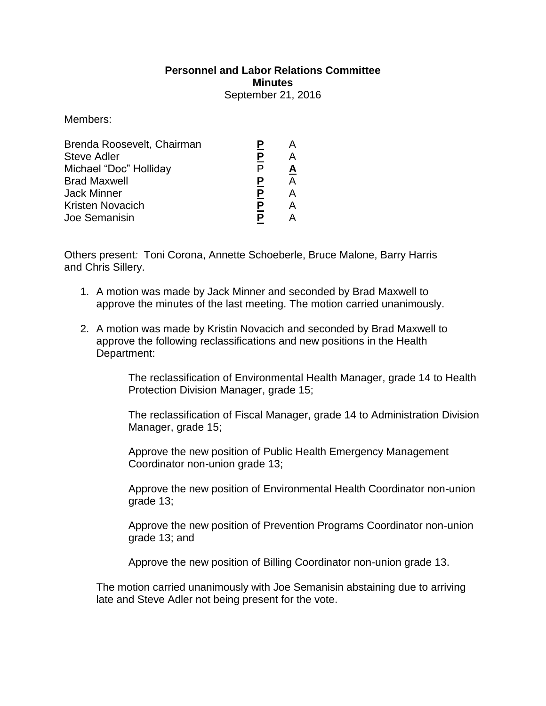## **Personnel and Labor Relations Committee Minutes**

September 21, 2016

Members:

| Ρ |          |
|---|----------|
|   | <u>A</u> |
| Ρ | А        |
| P | А        |
| P |          |
|   |          |
|   |          |

Others present*:* Toni Corona, Annette Schoeberle, Bruce Malone, Barry Harris and Chris Sillery.

- 1. A motion was made by Jack Minner and seconded by Brad Maxwell to approve the minutes of the last meeting. The motion carried unanimously.
- 2. A motion was made by Kristin Novacich and seconded by Brad Maxwell to approve the following reclassifications and new positions in the Health Department:

The reclassification of Environmental Health Manager, grade 14 to Health Protection Division Manager, grade 15;

The reclassification of Fiscal Manager, grade 14 to Administration Division Manager, grade 15;

Approve the new position of Public Health Emergency Management Coordinator non-union grade 13;

Approve the new position of Environmental Health Coordinator non-union grade 13;

Approve the new position of Prevention Programs Coordinator non-union grade 13; and

Approve the new position of Billing Coordinator non-union grade 13.

The motion carried unanimously with Joe Semanisin abstaining due to arriving late and Steve Adler not being present for the vote.